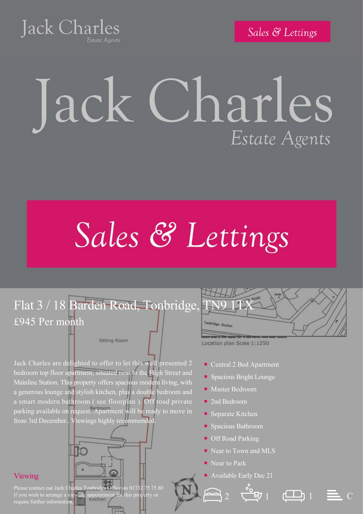**Jack Charles** 

Sales & Lettings

## Jack Charles Estate Agents

## Sales & Lettings

## Flat 3 / 18 Barden Road, Tonbridge, £945 Per month

**Sitting Room** 

Jack Charles are delighted to offer to let this well presented 2 bedroom top floor apartment, situated near to the High Street and Mainline Station. This property offers spacious modern living, with a generous lounge and stylish kitchen, plus a double bedroom and a smart modern bathroom ( see floorplan ). Off road private parking available on request. Apartment will be ready to move in from 3rd December.. Viewings highly recommended



Location plan Scale 1:1250

bridge Stotte

- Central 2 Bed Apartment
- Spacious Bright Lounge
- Master Bedroom
- 2nd Bedroom
- Separate Kitchen
- Spacious Bathroom
- Off Road Parking
- Near to Town and MLS
- Near to Park
- Available Early Dec 21







Please contact our Jack Charles Tonbridge Office on 01732 75 75 80 if you wish to arrange a viewing appointment for this property or require further information.

Viewing